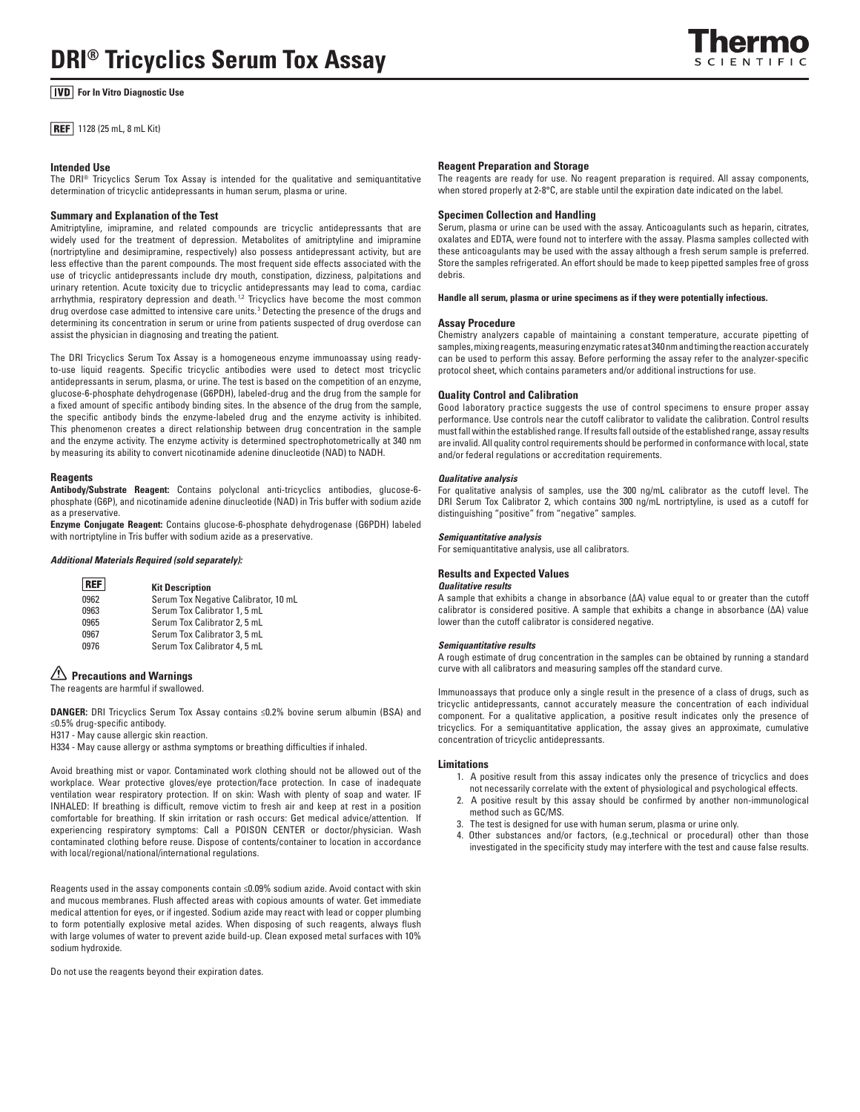# **For In Vitro Diagnostic Use**

**REF** 1128 (25 mL, 8 mL Kit)

## **Intended Use**

The DRI® Tricyclics Serum Tox Assay is intended for the qualitative and semiquantitative determination of tricyclic antidepressants in human serum, plasma or urine.

## **Summary and Explanation of the Test**

Amitriptyline, imipramine, and related compounds are tricyclic antidepressants that are widely used for the treatment of depression. Metabolites of amitriptyline and imipramine (nortriptyline and desimipramine, respectively) also possess antidepressant activity, but are less effective than the parent compounds. The most frequent side effects associated with the use of tricyclic antidepressants include dry mouth, constipation, dizziness, palpitations and urinary retention. Acute toxicity due to tricyclic antidepressants may lead to coma, cardiac arrhythmia, respiratory depression and death.<sup>12</sup> Tricyclics have become the most common drug overdose case admitted to intensive care units.<sup>3</sup> Detecting the presence of the drugs and determining its concentration in serum or urine from patients suspected of drug overdose can assist the physician in diagnosing and treating the patient.

The DRI Tricyclics Serum Tox Assay is a homogeneous enzyme immunoassay using readyto-use liquid reagents. Specific tricyclic antibodies were used to detect most tricyclic antidepressants in serum, plasma, or urine. The test is based on the competition of an enzyme, glucose-6-phosphate dehydrogenase (G6PDH), labeled-drug and the drug from the sample for a fixed amount of specific antibody binding sites. In the absence of the drug from the sample, the specific antibody binds the enzyme-labeled drug and the enzyme activity is inhibited. This phenomenon creates a direct relationship between drug concentration in the sample and the enzyme activity. The enzyme activity is determined spectrophotometrically at 340 nm by measuring its ability to convert nicotinamide adenine dinucleotide (NAD) to NADH.

## **Reagents**

**Antibody/Substrate Reagent:** Contains polyclonal anti-tricyclics antibodies, glucose-6 phosphate (G6P), and nicotinamide adenine dinucleotide (NAD) in Tris buffer with sodium azide as a preservative.

**Enzyme Conjugate Reagent:** Contains glucose-6-phosphate dehydrogenase (G6PDH) labeled with nortriptyline in Tris buffer with sodium azide as a preservative.

#### *Additional Materials Required (sold separately):*

| <b>REF</b>  | <b>Kit Description</b>               |
|-------------|--------------------------------------|
| 0962        | Serum Tox Negative Calibrator, 10 mL |
| 0963        | Serum Tox Calibrator 1, 5 mL         |
| 0965        | Serum Tox Calibrator 2, 5 mL         |
| 0967        | Serum Tox Calibrator 3, 5 mL         |
| <b>N976</b> | Serum Tox Calibrator 4 5 ml          |

Serum Tox Calibrator 4, 5 mL

## **Precautions and Warnings**

The reagents are harmful if swallowed.

**DANGER:** DRI Tricyclics Serum Tox Assay contains ≤0.2% bovine serum albumin (BSA) and ≤0.5% drug-specific antibody.

H317 - May cause allergic skin reaction.

H334 - May cause allergy or asthma symptoms or breathing difficulties if inhaled.

Avoid breathing mist or vapor. Contaminated work clothing should not be allowed out of the workplace. Wear protective gloves/eye protection/face protection. In case of inadequate ventilation wear respiratory protection. If on skin: Wash with plenty of soap and water. IF INHALED: If breathing is difficult, remove victim to fresh air and keep at rest in a position comfortable for breathing. If skin irritation or rash occurs: Get medical advice/attention. If experiencing respiratory symptoms: Call a POISON CENTER or doctor/physician. Wash contaminated clothing before reuse. Dispose of contents/container to location in accordance with local/regional/national/international regulations.

Reagents used in the assay components contain ≤0.09% sodium azide. Avoid contact with skin and mucous membranes. Flush affected areas with copious amounts of water. Get immediate medical attention for eyes, or if ingested. Sodium azide may react with lead or copper plumbing to form potentially explosive metal azides. When disposing of such reagents, always flush with large volumes of water to prevent azide build-up. Clean exposed metal surfaces with 10% sodium hydroxide.

Do not use the reagents beyond their expiration dates.

## **Reagent Preparation and Storage**

The reagents are ready for use. No reagent preparation is required. All assay components, when stored properly at 2-8°C, are stable until the expiration date indicated on the label.

## **Specimen Collection and Handling**

Serum, plasma or urine can be used with the assay. Anticoagulants such as heparin, citrates, oxalates and EDTA, were found not to interfere with the assay. Plasma samples collected with these anticoagulants may be used with the assay although a fresh serum sample is preferred. Store the samples refrigerated. An effort should be made to keep pipetted samples free of gross debris.

**Handle all serum, plasma or urine specimens as if they were potentially infectious.**

### **Assay Procedure**

Chemistry analyzers capable of maintaining a constant temperature, accurate pipetting of samples, mixing reagents, measuring enzymatic rates at 340 nm and timing the reaction accurately can be used to perform this assay. Before performing the assay refer to the analyzer-specific protocol sheet, which contains parameters and/or additional instructions for use.

### **Quality Control and Calibration**

Good laboratory practice suggests the use of control specimens to ensure proper assay performance. Use controls near the cutoff calibrator to validate the calibration. Control results must fall within the established range. If results fall outside of the established range, assay results are invalid. All quality control requirements should be performed in conformance with local, state and/or federal regulations or accreditation requirements.

#### *Qualitative analysis*

For qualitative analysis of samples, use the 300 ng/mL calibrator as the cutoff level. The DRI Serum Tox Calibrator 2, which contains 300 ng/mL nortriptyline, is used as a cutoff for distinguishing "positive" from "negative" samples.

#### *Semiquantitative analysis*

For semiquantitative analysis, use all calibrators.

## **Results and Expected Values**

## *Qualitative results*

A sample that exhibits a change in absorbance (ΔA) value equal to or greater than the cutoff calibrator is considered positive. A sample that exhibits a change in absorbance (ΔA) value lower than the cutoff calibrator is considered negative.

#### *Semiquantitative results*

A rough estimate of drug concentration in the samples can be obtained by running a standard curve with all calibrators and measuring samples off the standard curve.

Immunoassays that produce only a single result in the presence of a class of drugs, such as tricyclic antidepressants, cannot accurately measure the concentration of each individual component. For a qualitative application, a positive result indicates only the presence of tricyclics. For a semiquantitative application, the assay gives an approximate, cumulative concentration of tricyclic antidepressants.

## **Limitations**

- 1. A positive result from this assay indicates only the presence of tricyclics and does not necessarily correlate with the extent of physiological and psychological effects.
- 2. A positive result by this assay should be confirmed by another non-immunological method such as GC/MS.
- 3. The test is designed for use with human serum, plasma or urine only.
- 4. Other substances and/or factors, (e.g.,technical or procedural) other than those investigated in the specificity study may interfere with the test and cause false results.